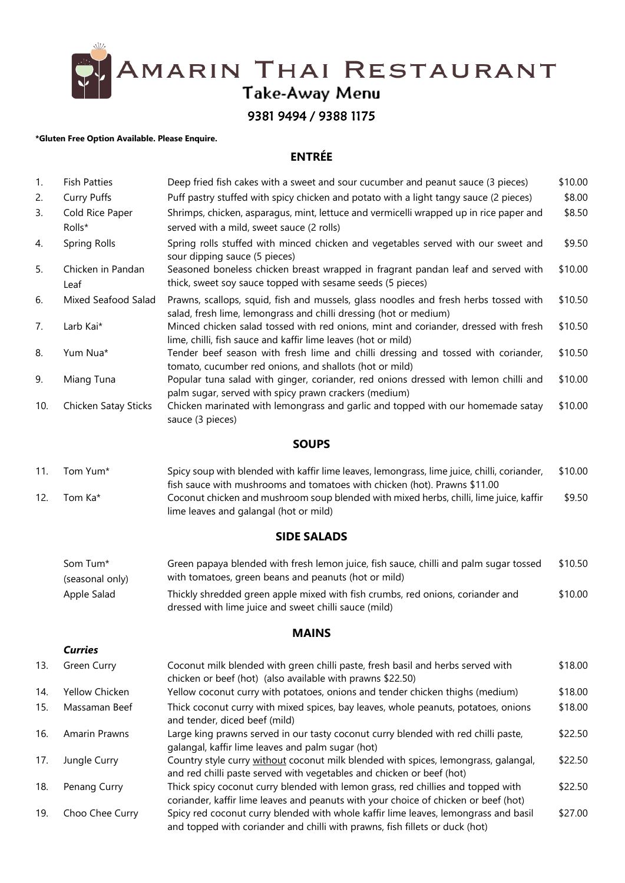AMARIN THAI RESTAURANT<br>Take-Away Menu<br>9381 9494 / 9388 1175

#### **\*Gluten Free Option Available. Please Enquire.**

# **ENTRÉE**

| 1.  | <b>Fish Patties</b>         | Deep fried fish cakes with a sweet and sour cucumber and peanut sauce (3 pieces)                                                                                         | \$10.00 |
|-----|-----------------------------|--------------------------------------------------------------------------------------------------------------------------------------------------------------------------|---------|
| 2.  | <b>Curry Puffs</b>          | Puff pastry stuffed with spicy chicken and potato with a light tangy sauce (2 pieces)                                                                                    | \$8.00  |
| 3.  | Cold Rice Paper             | Shrimps, chicken, asparagus, mint, lettuce and vermicelli wrapped up in rice paper and                                                                                   | \$8.50  |
|     | Rolls*                      | served with a mild, sweet sauce (2 rolls)                                                                                                                                |         |
| 4.  | <b>Spring Rolls</b>         | Spring rolls stuffed with minced chicken and vegetables served with our sweet and<br>sour dipping sauce (5 pieces)                                                       | \$9.50  |
| 5.  | Chicken in Pandan<br>Leaf   | Seasoned boneless chicken breast wrapped in fragrant pandan leaf and served with<br>thick, sweet soy sauce topped with sesame seeds (5 pieces)                           | \$10.00 |
| 6.  | Mixed Seafood Salad         | Prawns, scallops, squid, fish and mussels, glass noodles and fresh herbs tossed with<br>salad, fresh lime, lemongrass and chilli dressing (hot or medium)                | \$10.50 |
| 7.  | Larb Kai*                   | Minced chicken salad tossed with red onions, mint and coriander, dressed with fresh<br>lime, chilli, fish sauce and kaffir lime leaves (hot or mild)                     | \$10.50 |
| 8.  | Yum Nua*                    | Tender beef season with fresh lime and chilli dressing and tossed with coriander,<br>tomato, cucumber red onions, and shallots (hot or mild)                             | \$10.50 |
| 9.  | Miang Tuna                  | Popular tuna salad with ginger, coriander, red onions dressed with lemon chilli and<br>palm sugar, served with spicy prawn crackers (medium)                             | \$10.00 |
| 10. | Chicken Satay Sticks        | Chicken marinated with lemongrass and garlic and topped with our homemade satay<br>sauce (3 pieces)                                                                      | \$10.00 |
|     |                             | <b>SOUPS</b>                                                                                                                                                             |         |
| 11. | Tom Yum*                    | Spicy soup with blended with kaffir lime leaves, lemongrass, lime juice, chilli, coriander,<br>fish sauce with mushrooms and tomatoes with chicken (hot). Prawns \$11.00 | \$10.00 |
| 12. | Tom Ka*                     | Coconut chicken and mushroom soup blended with mixed herbs, chilli, lime juice, kaffir<br>lime leaves and galangal (hot or mild)                                         | \$9.50  |
|     |                             | <b>SIDE SALADS</b>                                                                                                                                                       |         |
|     | Som Tum*<br>(seasonal only) | Green papaya blended with fresh lemon juice, fish sauce, chilli and palm sugar tossed<br>with tomatoes, green beans and peanuts (hot or mild)                            | \$10.50 |
|     | Apple Salad                 | Thickly shredded green apple mixed with fish crumbs, red onions, coriander and<br>dressed with lime juice and sweet chilli sauce (mild)                                  | \$10.00 |

## **MAINS**

## *Curries*

| 13. | Green Curry          | Coconut milk blended with green chilli paste, fresh basil and herbs served with<br>chicken or beef (hot) (also available with prawns \$22.50)                           | \$18.00 |
|-----|----------------------|-------------------------------------------------------------------------------------------------------------------------------------------------------------------------|---------|
| 14. | Yellow Chicken       | Yellow coconut curry with potatoes, onions and tender chicken thighs (medium)                                                                                           | \$18.00 |
| 15. | Massaman Beef        | Thick coconut curry with mixed spices, bay leaves, whole peanuts, potatoes, onions<br>and tender, diced beef (mild)                                                     | \$18.00 |
| 16. | <b>Amarin Prawns</b> | Large king prawns served in our tasty coconut curry blended with red chilli paste,<br>galangal, kaffir lime leaves and palm sugar (hot)                                 | \$22.50 |
| 17. | Jungle Curry         | Country style curry without coconut milk blended with spices, lemongrass, galangal,<br>and red chilli paste served with vegetables and chicken or beef (hot)            | \$22.50 |
| 18. | Penang Curry         | Thick spicy coconut curry blended with lemon grass, red chillies and topped with<br>coriander, kaffir lime leaves and peanuts with your choice of chicken or beef (hot) | \$22.50 |
| 19. | Choo Chee Curry      | Spicy red coconut curry blended with whole kaffir lime leaves, lemongrass and basil<br>and topped with coriander and chilli with prawns, fish fillets or duck (hot)     | \$27.00 |